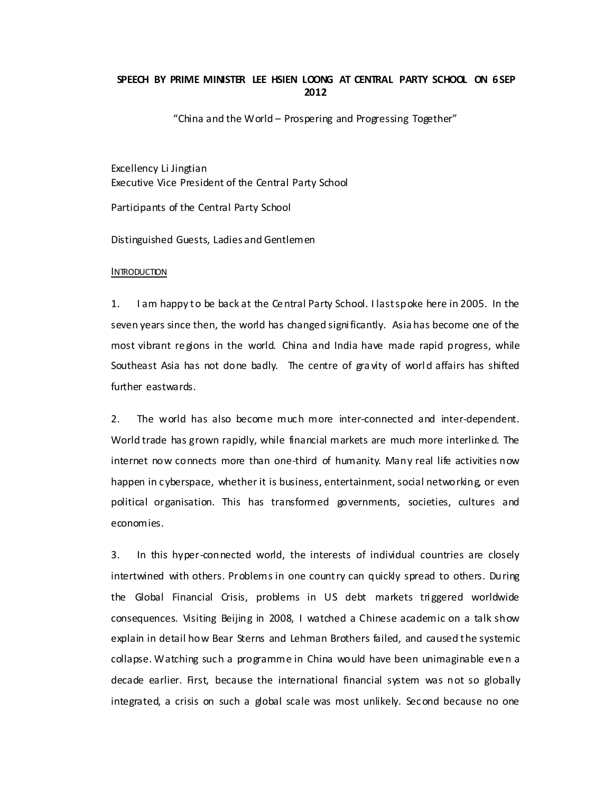# **SPEECH BY PRIME MINISTER LEE HSIEN LOONG AT CENTRAL PARTY SCHOOL ON 6SEP 2012**

"China and the World – Prospering and Progressing Together"

Excellency Li Jingtian Executive Vice President of the Central Party School

Participants of the Central Party School

Distinguished Guests, Ladies and Gentlemen

### **INTRODUCTION**

1. I am happy t o be back at the Ce ntral Party School. I lastspoke here in 2005. In the seven years since then, the world has changed signi ficantly. Asia has become one of the most vibrant regions in the world. China and India have made rapid progress, while Southeast Asia has not done badly. The centre of gravity of world affairs has shifted further eastwards.

2. The world has also become much more inter-connected and inter-dependent. World trade has grown rapidly, while financial markets are much more interlinke d. The internet now connects more than one‐third of humanity. Many real life activities now happen in cyberspace, whether it is business, entertainment, social netwo rking, or even political organisation. This has transformed governments, societies, cultures and economies.

3. In this hyper‐connected world, the interests of individual countries are closely intertwined with others. Problems in one country can quickly spread to others. During the Global Financial Crisis, problems in US debt markets triggered worldwide consequences. Visiting Beijing in 2008, I watched a Chinese academic on a talk show explain in detail how Bear Sterns and Lehman Brothers failed, and caused the systemic collapse. Watching such a programme in China would have been unimaginable even a decade earlier. First, because the international financial system was not so globally integrated, a crisis on such a global scale was most unlikely. Sec ond because no one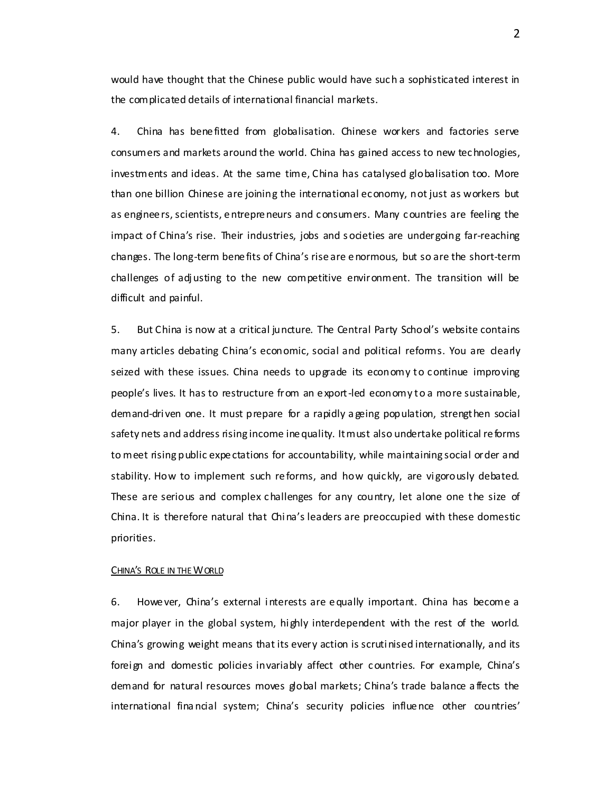would have thought that the Chinese public would have suc h a sophisticated interest in the complicated details of international financial markets.

4. China has bene fitted from globalisation. Chinese workers and factories serve consumers and markets around the world. China has gained access to new tec hnologies, investments and ideas. At the same time, China has catalysed globalisation too. More than one billion Chinese are joining the international ec onomy, not just as workers but as enginee rs, scientists, e ntrepre neurs and consumers. Many countries are feeling the impact of China's rise. Their industries, jobs and societies are undergoing far-reaching changes. The long-term bene fits of China's rise are enormous, but so are the short-term challenges of adjusting to the new competitive environment. The transition will be difficult and painful.

5. But China is now at a critical juncture. The Central Party School's website contains many articles debating China's economic, social and political reforms. You are clearly seized with these issues. China needs to upgrade its economy to continue improving people's lives. It has to restructure from an export-led economy to a more sustainable, demand‐dri ven one. It must p repare for a rapidly a geing population, strengt hen social safety nets and address rising income ine quality. Itmust also undertake political re forms to meet rising public expe ctations for accountability, while maintaining social order and stability. How to implement such re forms, and how quickly, are vi gorously debated. These are serious and complex c hallenges for any country, let alone one t he size of China. It is therefore natural that Chi na's leaders are preoccupied with these domestic priorities.

#### CHINA'S ROLE IN THEWORLD

6. Howe ver, China's external i nterests are e qually important. China has become a major player in the global system, highly interdependent with the rest of the world. China's growing weight means that its every action is scruti nised internationally, and its foreign and domestic policies invariably affect other countries. For example, China's demand for natural resources moves global markets; China's trade balance a ffects the international fina ncial system; China's security policies influe nce other countries'

2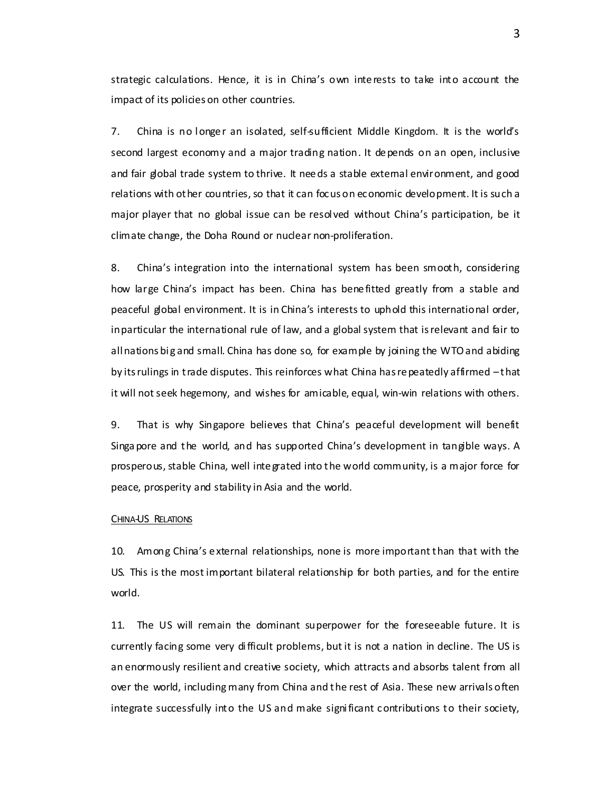strategic calculations. Hence, it is in China's own interests to take into account the impact of its policies on other countries.

7. China is no longer an isolated, self-sufficient Middle Kingdom. It is the world's second largest economy and a major trading nation. It de pends on an open, inclusive and fair global trade system to thrive. It nee ds a stable external environment, and good relations with ot her countries, so that it can focus on economic development. It is such a major player that no global issue can be resol ved without China's participation, be it climate change, the Doha Round or nuclear non‐proliferation.

8. China's integration into the international system has been smoot h, considering how large China's impact has been. China has bene fitted greatly from a stable and peaceful global environment. It is in China's interests to uphold this international order, inparticular the international rule of law, and a global system that isrelevant and fair to all nations big and small. China has done so, for example by joining the WTO and abiding by itsrulings in t rade disputes. This reinforces what China hasre peatedly affirmed –t hat it will not seek hegemony, and wishes for amicable, equal, win-win relations with others.

9. That is why Singapore believes that China's peaceful development will benefit Singa pore and t he world, and has supported China's development in tangible ways. A prosperous, stable China, well inte grated into the world community, is a major force for peace, prosperity and stability in Asia and the world.

#### CHINA‐US RELATIONS

10. Among China's external relationships, none is more important than that with the US. This is the most important bilateral relationship for both parties, and for the entire world.

11. The US will remain the dominant superpower for the foreseeable future. It is currently facing some very di fficult problems, but it is not a nation in decline. The US is an enormously resilient and creative society, which attracts and absorbs talent from all over the world, includingmany from China and the rest of Asia. These new arrivals o ften integrate successfully into the US and make significant contributions to their society,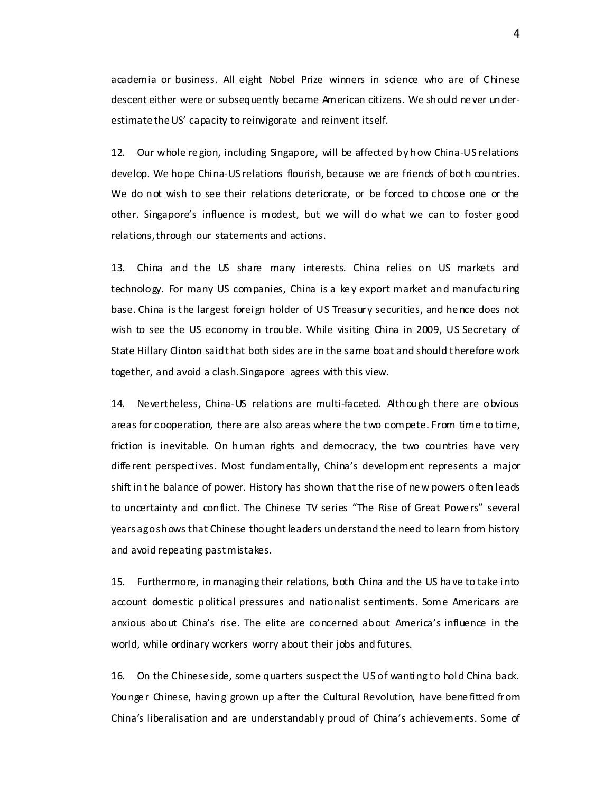academia or business. All eight Nobel Prize winners in science who are of Chinese descent either were or subsequently became American citizens. We should ne ver under‐ estimate the US' capacity to reinvigorate and reinvent itself.

12. Our whole re gion, including Singapore, will be affected by how China‐US relations develop. We hope Chi na‐US relations flourish, because we are friends of bot h countries. We do not wish to see their relations deteriorate, or be forced to choose one or the other. Singapore's influence is modest, but we will do what we can to foster good relations,through our statements and actions.

13. China and the US share many interests. China relies on US markets and technology. For many US companies, China is a ke y export market and manufactu ring base. China is t he largest forei gn holder of US Treasury securities, and he nce does not wish to see the US economy in trouble. While visiting China in 2009, US Secretary of State Hillary Clinton saidt hat both sides are in the same boat and should t herefore work together, and avoid a clash.Singapore agrees with this view.

14. Nevert heless, China‐US relations are multi‐faceted. Although t here are obvious areas for c ooperation, there are also areas where the two c ompete. From time to time, friction is inevitable. On human rights and democracy, the two countries have very diffe rent perspecti ves. Most fundamentally, China's development represents a major shift in the balance of power. History has shown that the rise of new powers often leads to uncertainty and conflict. The Chinese TV series "The Rise of Great Powers" several years agoshows that Chinese thought leaders understand the need to learn from history and avoid repeating pastmistakes.

15. Furthermo re, in managing their relations, both China and the US ha ve to take i nto account domestic political pressures and nationalist sentiments. Some Americans are anxious about China's rise. The elite are concerned about America's influence in the world, while ordinary workers worry about their jobs and futures.

16. On the Chinese side, some quarters suspect the US of wanting to hold China back. Younger Chinese, having grown up a fter the Cultural Revolution, have bene fitted from China's liberalisation and are understandabl y proud of China's achievements. Some of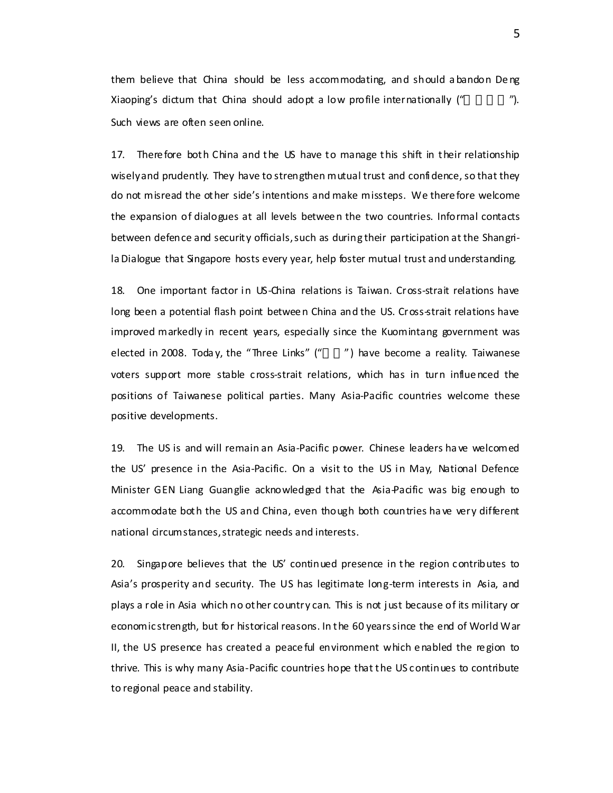them believe that China should be less accommodating, and should a bandon De ng Xiaoping's dictum that China should adopt a low profile internationally  $(4 \cdot \cdot \cdot \cdot)^n$ . Such views are often seen online.

17. Therefore both China and the US have to manage this shift in their relationship wiselyand prudently. They have to strengthen mutual trust and confidence, so that they do not misread the ot her side's intentions and make missteps. We there fore welcome the expansion of dialogues at all levels between the two countries. Informal contacts between defence and security officials, such as during their participation at the Shangrila Dialogue that Singapore hosts every year, help foster mutual trust and understanding.

18. One important factor in US-China relations is Taiwan. Cross-strait relations have long been a potential flash point between China and the US. Cross-strait relations have improved markedly in recent years, especially since the Kuomintang government was elected in 2008. Toda y, the "Three Links" (" at ") have become a reality. Taiwanese voters support more stable cross-strait relations, which has in turn influenced the positions of Taiwanese political parties. Many Asia-Pacific countries welcome these positive developments.

19. The US is and will remain an Asia‐Pacific power. Chinese leaders ha ve welcomed the US' presence in the Asia-Pacific. On a visit to the US in May, National Defence Minister GEN Liang Guanglie acknowledged that the Asia-Pacific was big enough to accommodate bot h the US and China, even though both coun tries ha ve very different national circumstances,strategic needs and interests.

20. Singapore believes that the US' continued presence in the region contributes to Asia's prosperity and security. The US has legitimate long-term interests in Asia, and plays a role in Asia which no other country can. This is not just because of its military or economic strength, but for historical reasons. In the 60 years since the end of World War II, the US presence has created a peace ful environment which e nabled the re gion to thrive. This is why many Asia‐Pacific countries hope that the US c ontinues to contribute to regional peace and stability.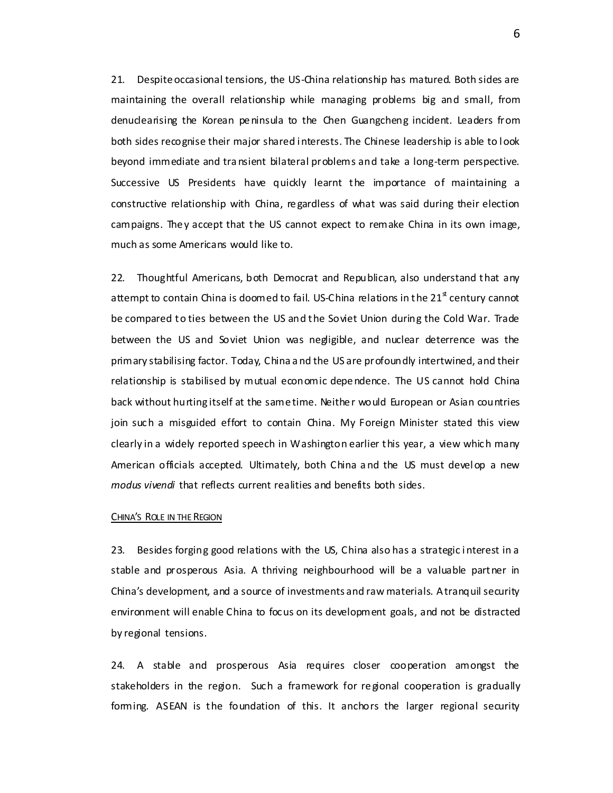21. Despiteoccasional tensions, the US‐China relationship has matured. Both sides are maintaining the overall relationship while managing problems big and small, from denuclearising the Korean pe ninsula to the Chen Guangcheng incident. Leaders from both sides recognise their major shared interests. The Chinese leadership is able to look beyond immediate and tra nsient bilateral problems and take a long‐term perspective. Successive US Presidents have quickly learnt the importance of maintaining a constructive relationship with China, re gardless of what was said during their election campaigns. The y accept that t he US cannot expect to remake China in its own image, much as some Americans would like to.

22. Thoughtful Americans, both Democrat and Republican, also understand that any attempt to contain China is doomed to fail. US-China relations in the  $21<sup>st</sup>$  century cannot be compared to ties between the US and the Soviet Union during the Cold War. Trade between the US and Soviet Union was negligible, and nuclear deterrence was the primary stabilising factor. Today, China a nd the US are profoundly intertwined, and their relationship is stabilised by mutual economic depe ndence. The US cannot hold China back without hu rting itself at the sametime. Neithe r would European or Asian countries join such a misguided effort to contain China. My Foreign Minister stated this view clearly in a widely reported speech in Washington earlier t his year, a view whic h many American officials accepted. Ultimately, both China and the US must develop a new *modus vivendi* that reflects current realities and benefits both sides.

### CHINA'S ROLE IN THE REGION

23. Besides forging good relations with the US, China also has a strategic i nterest in a stable and prosperous Asia. A thriving neighbourhood will be a valuable part ner in China's development, and a source of investments and raw materials. Atranquil security environment will enable China to foc us on its development goals, and not be distracted by regional tensions.

24. A stable and prosperous Asia requires closer cooperation amongst the stakeholders in the region. Such a framework for regional cooperation is gradually forming. ASEAN is the foundation of this. It anchors the larger regional security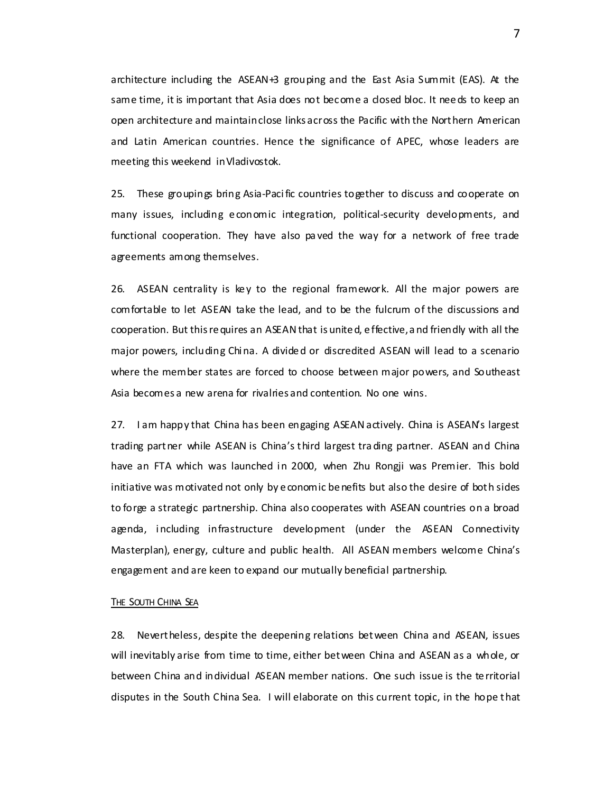architecture including the ASEAN+3 grouping and the East Asia Summit (EAS). At the same time, it is important that Asia does not become a closed bloc. It needs to keep an open architecture and maintainclose links across the Pacific with the Nort hern American and Latin American countries. Hence the significance of APEC, whose leaders are meeting this weekend inVladivostok.

25. These groupings bring Asia‐Paci fic countries together to discuss and cooperate on many issues, including economic integration, political-security developments, and functional cooperation. They have also pa ved the way for a network of free trade agreements among themselves.

26. ASEAN centrality is key to the regional framework. All the major powers are com fortable to let ASEAN take the lead, and to be the fulcrum of the discussions and cooperation. But this re quires an ASEAN that is unite d, e ffective, and friendly with all the major powers, including Chi na. A divide d or discredited ASEAN will lead to a scenario where the member states are forced to choose between major powers, and Southeast Asia becomes a new arena for rivalries and contention. No one wins.

27. I am happy that China has been engaging ASEANactively. China is ASEAN's largest trading part ner while ASEAN is China's t hird largest tra ding partner. ASEAN and China have an FTA which was launched in 2000, when Zhu Rongji was Premier. This bold initiative was motivated not only by e conomic be nefits but also the desire of bot h sides to fo rge a strategic partnership. China also cooperates with ASEAN countries on a broad agenda, including infrastructure development (under the ASEAN Connectivity Masterplan), energy, culture and public health. All ASEAN members welcome China's engagement and are keen to expand our mutually beneficial partnership.

#### THE SOUTH CHINA SEA

28. Nevert heless, despite the deepening relations between China and ASEAN, issues will inevitably arise from time to time, either between China and ASEAN as a whole, or between China and individual ASEAN member nations. One such issue is the te rritorial disputes in the South China Sea. I will elaborate on this cu rrent topic, in the hope t hat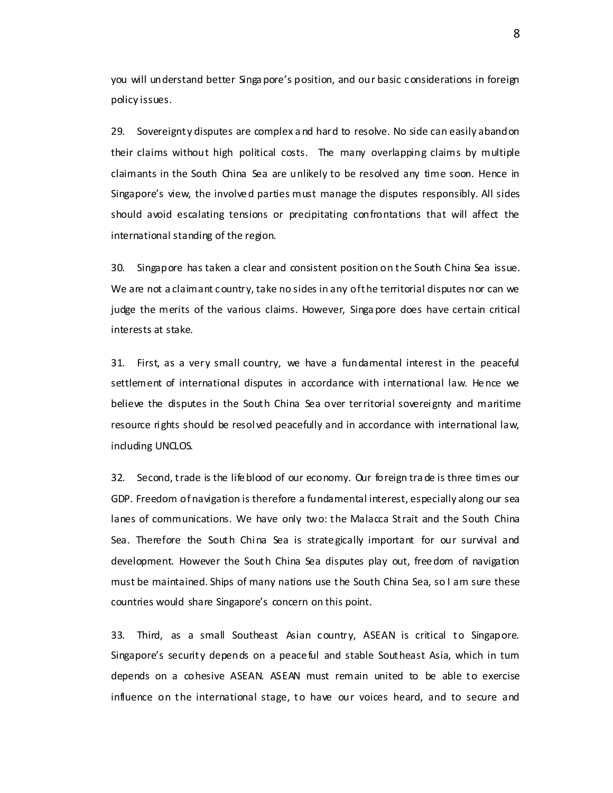you will understand better Singa pore's position, and ou r basic c onsiderations in foreign policy issues.

29. Sovereignty disputes are complex a nd hard to resolve. No side can easily abandon their claims without high political costs. The many overlapping claims by multiple claimants in the South China Sea are unlikely to be resolved any time soon. Hence in Singapore's view, the involve d parties must manage the disputes responsibly. All sides should avoid escalating tensions or precipitating con frontations that will affect the international standing of the region.

30. Singapore has taken a clear and consistent position on the South China Sea issue. We are not a claimant country, take no sides in any of the territorial disputes nor can we judge the merits of the various claims. However, Singa pore does have certain critical interests at stake.

31. First, as a very small country, we have a fundamental interest in the peaceful settlement of international disputes in accordance with i nternational law. He nce we believe the disputes in the South China Sea over territorial sovereignty and maritime resource rights should be resolved peacefully and in accordance with international law, including UNCLOS.

32. Second, t rade is the life blood of our economy. Our fo reign tra de is three times our GDP. Freedom of navigation is therefore a fundamental interest, especially along our sea lanes of communications. We have only two: the Malacca St rait and the South China Sea. Therefore the South China Sea is strate gically important for our survival and development. However the South China Sea disputes play out, free dom of navigation must be maintained. Ships of many nations use t he South China Sea, so I am sure these countries would share Singapore's concern on this point.

33. Third, as a small Southeast Asian country, ASEAN is critical to Singapore. Singapore's security depends on a peace ful and stable Sout heast Asia, which in turn depends on a cohesive ASEAN. ASEAN must remain united to be able to exercise influence on the international stage, to have our voices heard, and to secure and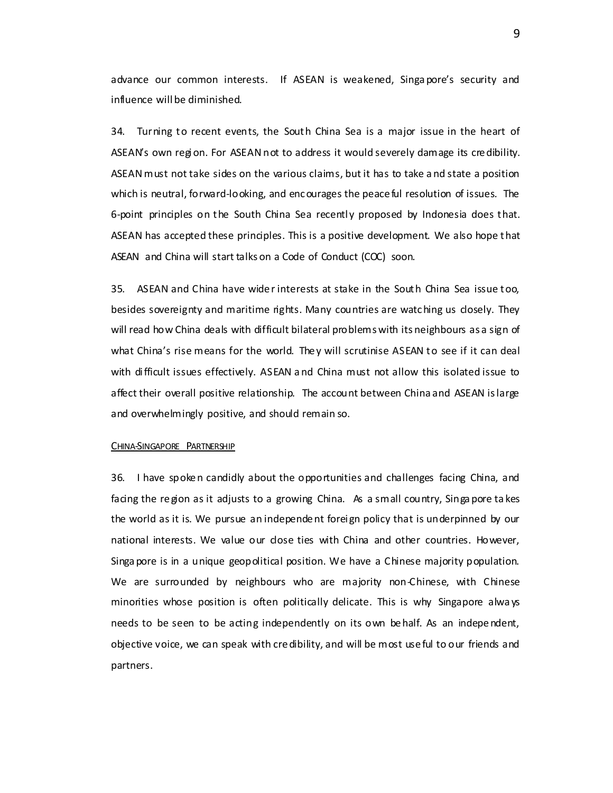advance our common interests. If ASEAN is weakened, Singa pore's security and influence will be diminished.

34. Turning to recent events, the South China Sea is a major issue in the heart of ASEAN's own region. For ASEAN not to address it would severely damage its credibility. ASEANmust not take sides on the various claims, but it has to take a nd state a position which is neutral, forward-looking, and encourages the peace ful resolution of issues. The 6-point principles on the South China Sea recently proposed by Indonesia does that. ASEAN has accepted these principles. This is a positive development. We also hope t hat ASEAN and China will start talks on a Code of Conduct (COC) soon.

35. ASEAN and China have wide r interests at stake in the Sout h China Sea issue t oo, besides sovereignty and maritime rights. Many countries are watc hing us closely. They will read how China deals with difficult bilateral problemswith its neighbours as a sign of what China's rise means for the world. They will scrutinise ASEAN to see if it can deal with di fficult issues effectively. ASEAN a nd China must not allow this isolated issue to affect their overall positive relationship. The account between China and ASEAN islarge and overwhelmingly positive, and should remain so.

## CHINA‐SINGAPORE PARTNERSHIP

36. I have spoke n candidly about the oppo rtunities and challenges facing China, and facing the region as it adjusts to a growing China. As a small country, Singa pore ta kes the world as it is. We pursue an independe nt forei gn policy that is underpinned by our national interests. We value our close ties with China and other countries. However, Singa pore is in a unique geopolitical position. We have a Chinese majority population. We are surrounded by neighbours who are majority non-Chinese, with Chinese minorities whose position is often politically delicate. This is why Singapore alwa ys needs to be seen to be acting independently on its own be half. As an indepe ndent, objective voice, we can speak with cre dibility, and will be most use ful to our friends and partners.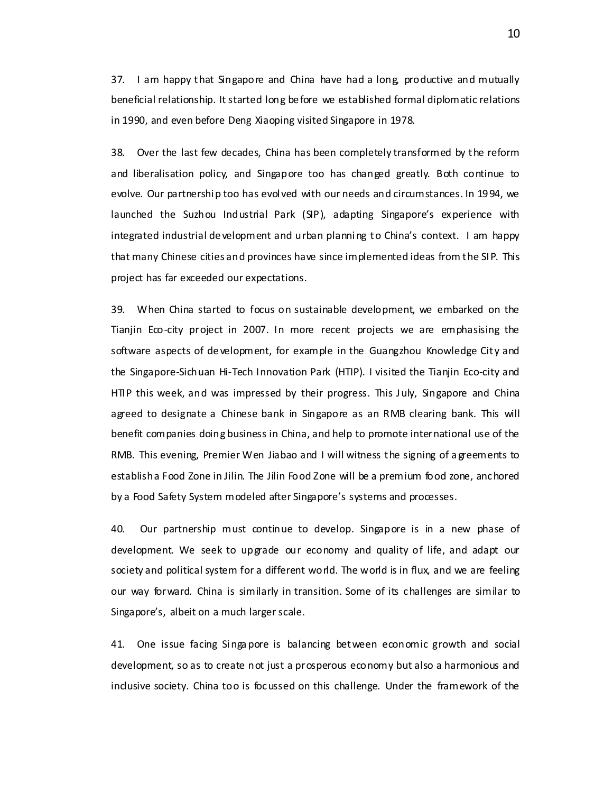37. I am happy t hat Singapo re and China have had a long, productive and mutually beneficial relationship. It started long be fore we established formal diplomatic relations in 1990, and even before Deng Xiaoping visited Singapore in 1978.

38. Over the last few decades, China has been completely transformed by t he reform and liberalisation policy, and Singapore too has changed greatly. Both continue to evolve. Our partnershi p too has evol ved with our needs and circumstances. In 19 94, we launched the Suzhou Industrial Park (SIP), adapting Singapore's experience with integrated industrial de velopment and urban planning to China's context. I am happy that many Chinese cities and provinces have since implemented ideas from the SIP. This project has far exceeded our expectations.

39. When China started to focus on sustainable development, we embarked on the Tianjin Eco‐city project in 2007. In more recent projects we are emphasising the software aspects of de velopment, for example in the Guangzhou Knowledge City and the Singapore‐Sichuan Hi‐Tech Innovation Park (HTIP). I visited the Tianjin Eco‐city and HTIP this week, and was impressed by their progress. This J uly, Singapore and China agreed to designate a Chinese bank in Singapore as an RMB clearing bank. This will benefit companies doing business in China, and help to promote international use of the RMB. This evening, Premier Wen Jiabao and I will witness t he signing of a greements to establisha Food Zone in Jilin. The Jilin Food Zone will be a premium food zone, anc hored by a Food Safety System modeled after Singapore's systems and processes.

40. Our partnership must continue to develop. Singapore is in a new phase of development. We seek to upgrade our economy and quality of life, and adapt our society and political system for a different world. The world is in flux, and we are feeling our way forward. China is similarly in transition. Some of its c hallenges are similar to Singapore's, albeit on a much larger scale.

41. One issue facing Si nga pore is balancing between economic growth and social development, so as to create not just a prosperous economy but also a harmonious and inclusive society. China too is foc ussed on this challenge. Under the framework of the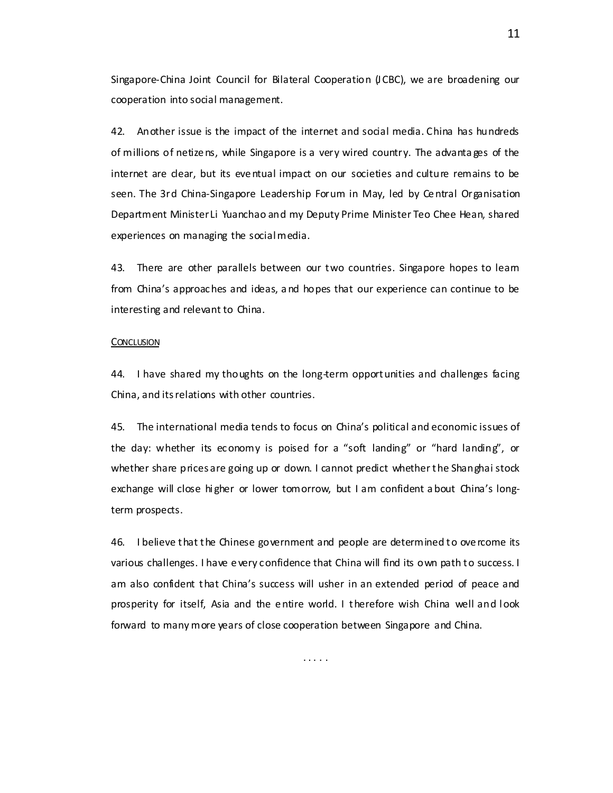Singapore-China Joint Council for Bilateral Cooperation (ICBC), we are broadening our cooperation into social management.

42. Another issue is the impact of the internet and social media. China has hundreds of millions of netizens, while Singapore is a very wired country. The advantages of the internet are clear, but its eve ntual impact on our societies and cultu re remains to be seen. The 3rd China‐Singapore Leadership Forum in May, led by Ce ntral Organisation Department MinisterLi Yuanchao and my Deputy Prime Minister Teo Chee Hean, shared experiences on managing the socialmedia.

43. There are other parallels between our two countries. Singapore hopes to leam from China's approac hes and ideas, a nd hopes that our experience can continue to be interesting and relevant to China.

## **CONCLUSION**

44. I have shared my thoughts on the long-term opport unities and challenges facing China, and itsrelations with other countries.

45. The international media tends to focus on China's political and economic issues of the day: whether its ec onomy is poised for a "soft landing" or "hard landing", or whether share prices are going up or down. I cannot predict whether the Shanghai stock exchange will close higher or lower tomorrow, but I am confident a bout China's longterm prospects.

46. I believe that the Chinese government and people are determined to ove rcome its various challenges. I have e very confidence that China will find its own path to success. I am also confident t hat China's success will usher in an extended period of peace and prosperity for itself, Asia and the entire world. I therefore wish China well and look forward to many more years of close cooperation between Singapore and China.

. . . . .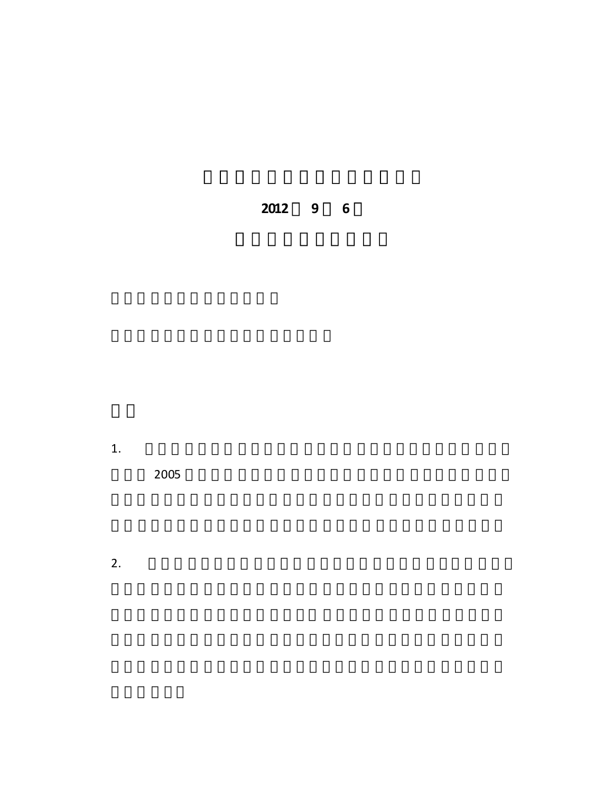**2012**年 **9** 月 **6** 日

 $1.$ 

 $2005$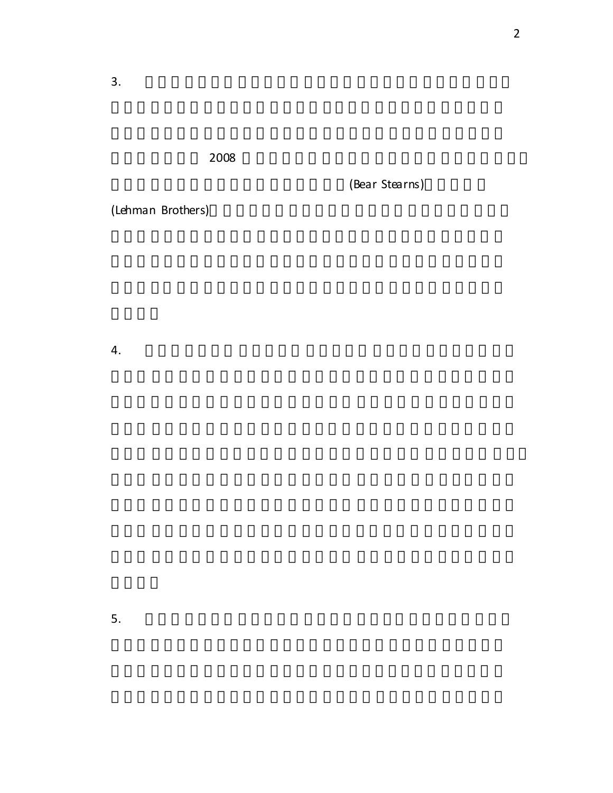$2008$ 

(Bear Stearns)

(Lehman Brothers)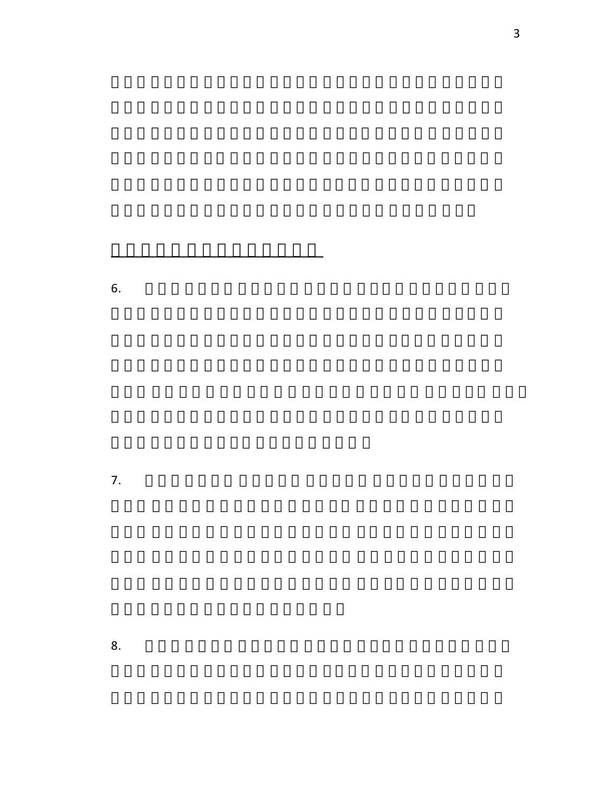$7.$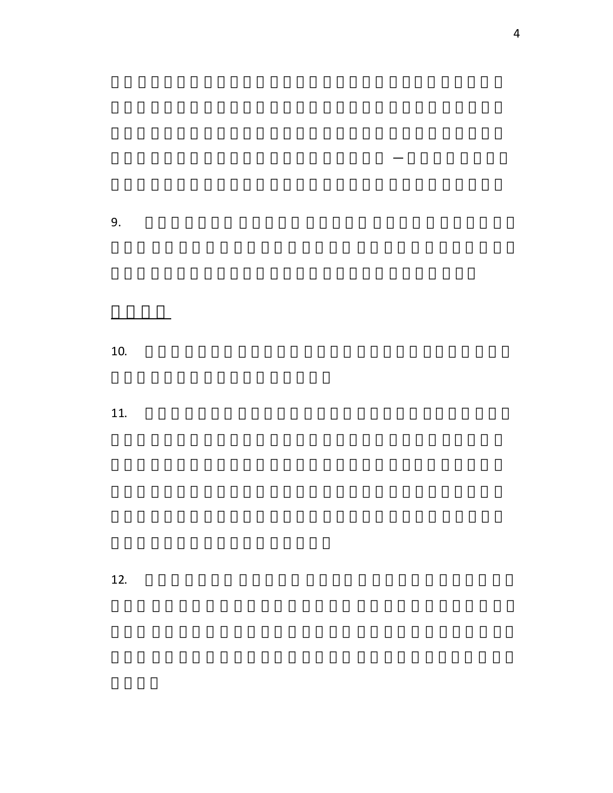$10.$ 

 $11.$ 

 $12.$ 

 $\rightarrow$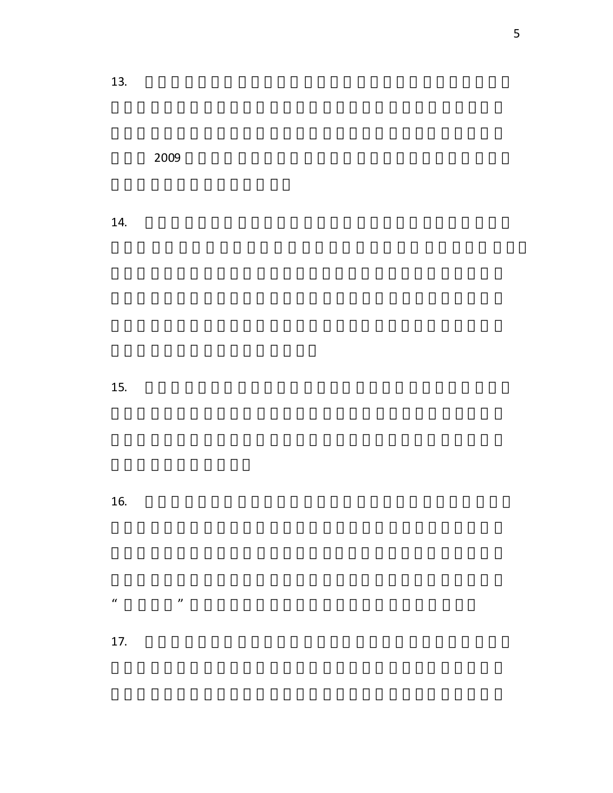13.  $\blacksquare$ 

 $2009$ 

 $14.$ 

 $15.$ 

 $16.$ 

 $17.$ 

 $n$  and  $n$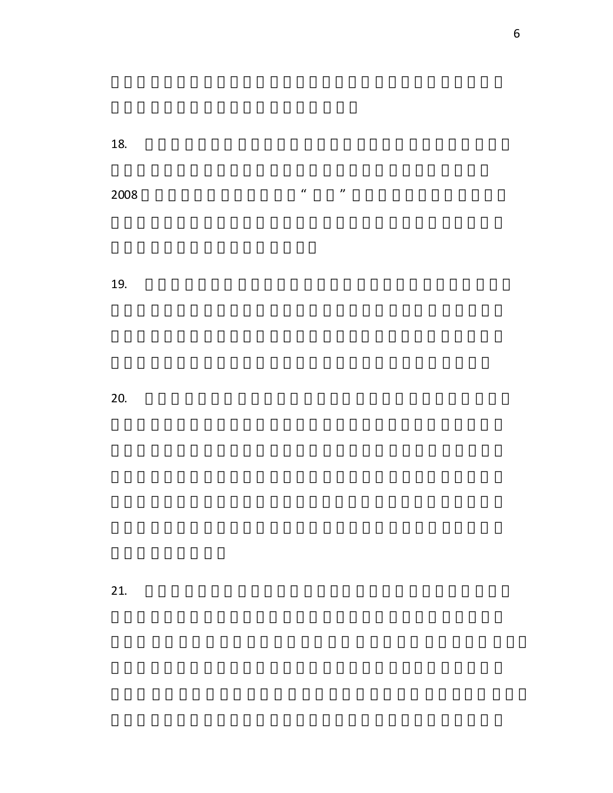$2008$  " "

 $19.$ 

 $20.$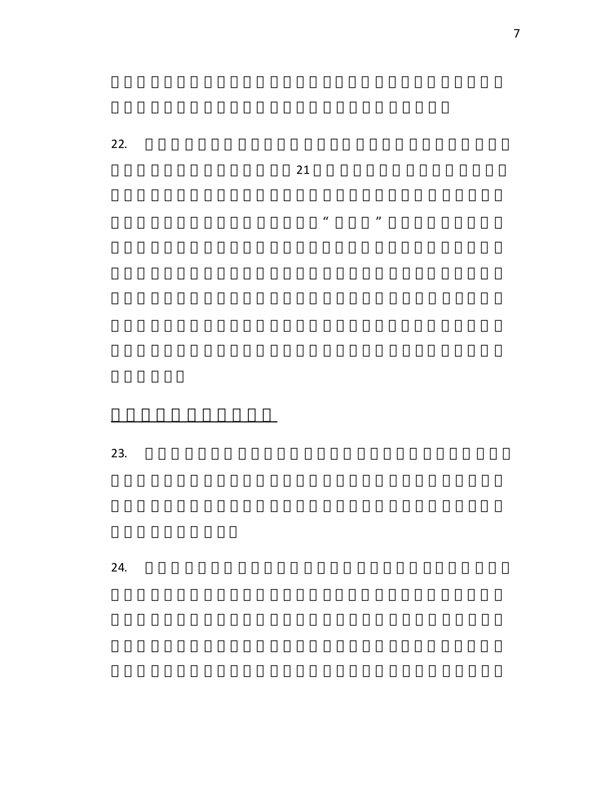$21$ 

 $\mu$  and  $\mu$  and  $\mu$ 

 $23.$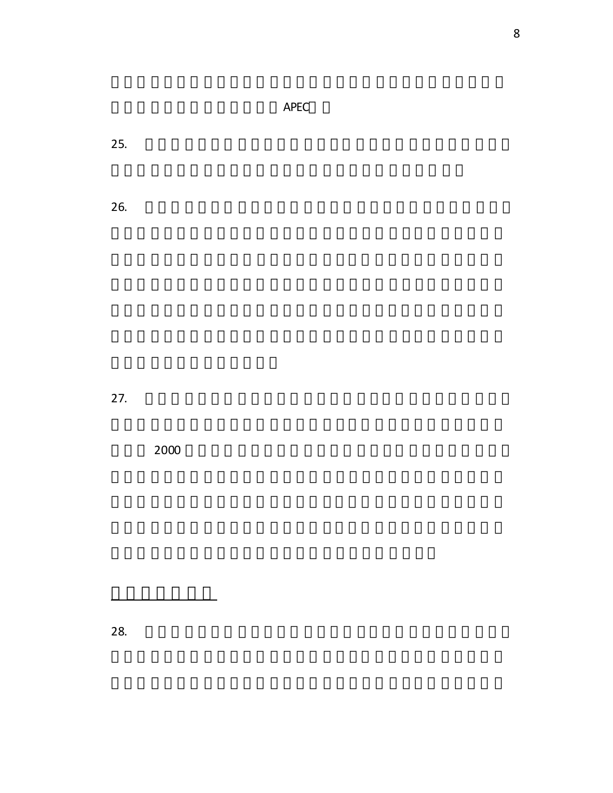APEC

 $25.$ 

 $26.$ 

 $27.$ 

 $2000$ 

南中国海的问题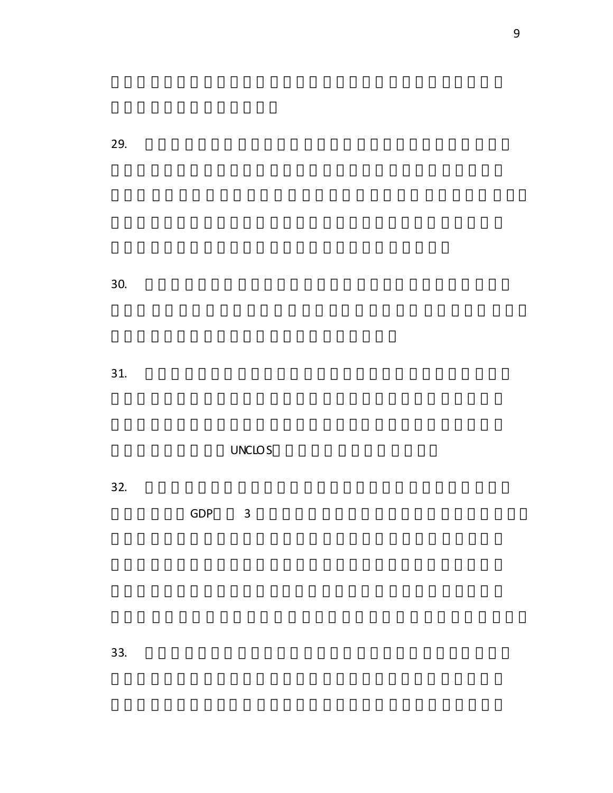$30.$ 

 $31.$ 

 $32.$ 

 $GDP$  3

UNCLOS

 $33.$ 

9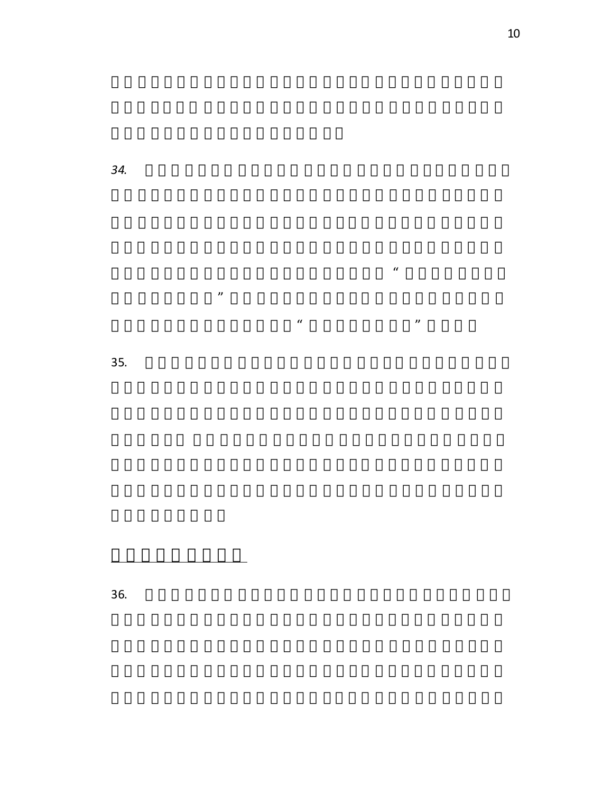**34. community** 

 $35.$ 

 $\overline{R}$ 

 $\overline{R}$ 

 $\mu$  and  $\mu$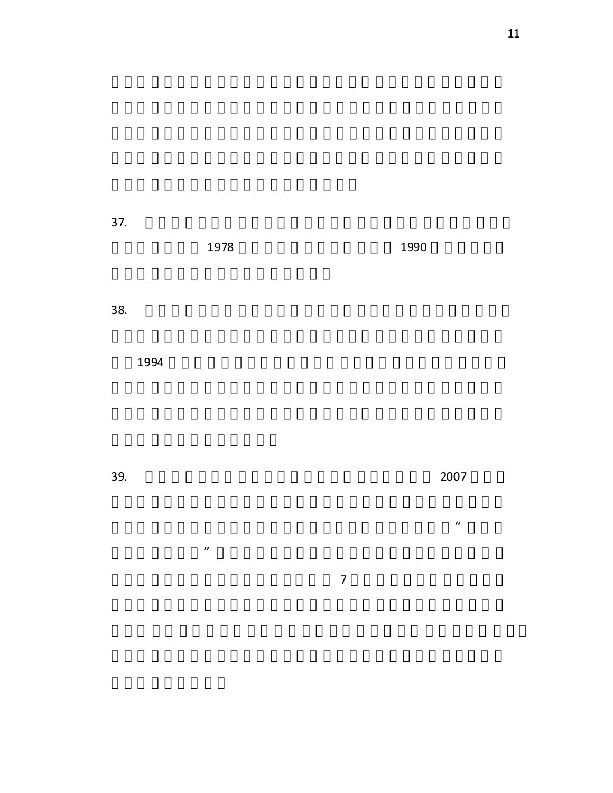$1978$  and  $1990$ 

 $38.$ 

 $1994$ 

 $39.$ 

 $\overline{7}$ 

 $\mu$ 

 $\mathbf n$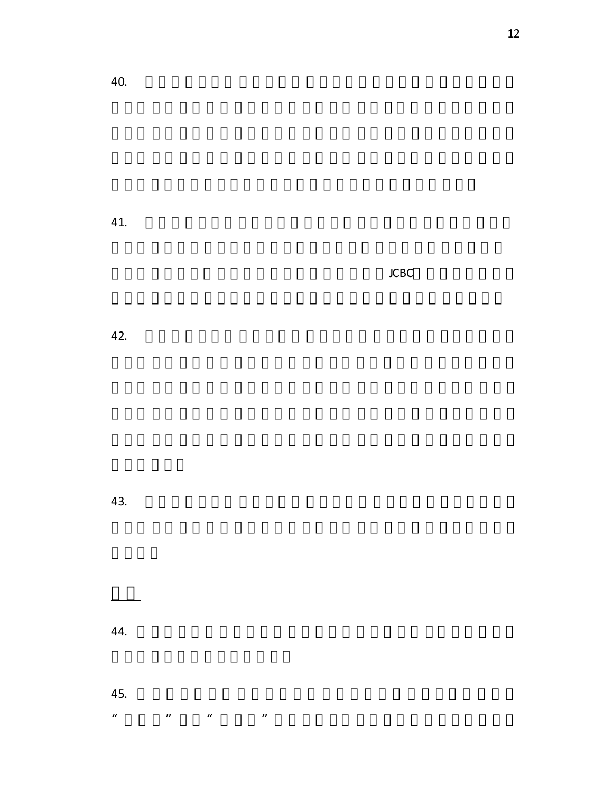$41.$ 

 $JCBC$ 

 $n$  where  $n$  and  $n$  and  $n$ 

 $42.$ 

 $43.$ 

 $44.$ 

结论